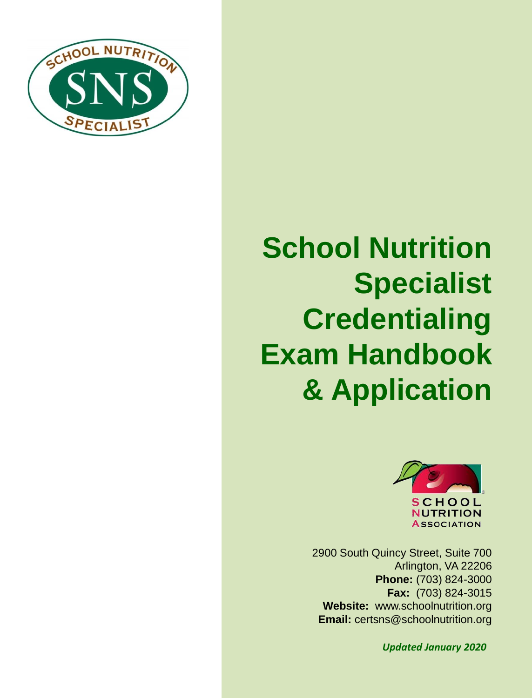

# **School Nutrition Specialist Credentialing Exam Handbook & Application**



2900 South Quincy Street, Suite 700 Arlington, VA 22206 **Phone:** (703) 824-3000 **Fax:** (703) 824-3015 **Website:** www.schoolnutrition.org **Email:** certsns@schoolnutrition.org

*Updated January 2020*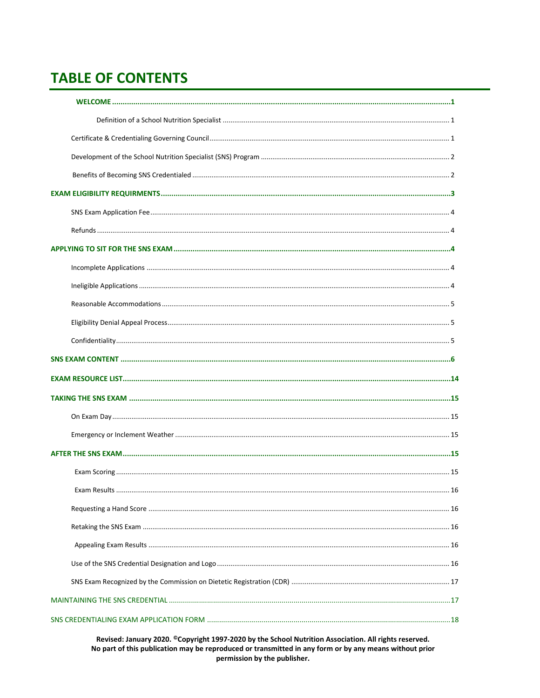# **TABLE OF CONTENTS**

| 16 |  |
|----|--|
|    |  |
|    |  |
|    |  |
|    |  |
|    |  |
|    |  |
|    |  |

Revised: January 2020. ©Copyright 1997-2020 by the School Nutrition Association. All rights reserved. No part of this publication may be reproduced or transmitted in any form or by any means without prior permission by the publisher.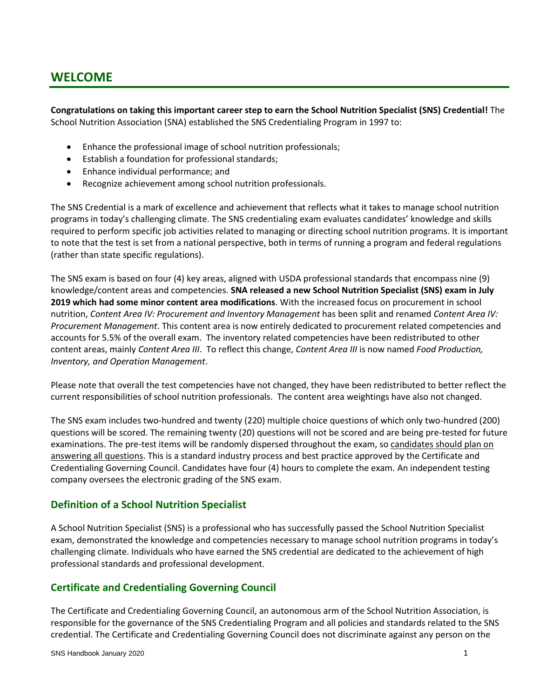# **WELCOME**

**Congratulations on taking this important career step to earn the School Nutrition Specialist (SNS) Credential!** The School Nutrition Association (SNA) established the SNS Credentialing Program in 1997 to:

- Enhance the professional image of school nutrition professionals;
- Establish a foundation for professional standards;
- Enhance individual performance; and
- Recognize achievement among school nutrition professionals.

The SNS Credential is a mark of excellence and achievement that reflects what it takes to manage school nutrition programs in today's challenging climate. The SNS credentialing exam evaluates candidates' knowledge and skills required to perform specific job activities related to managing or directing school nutrition programs. It is important to note that the test is set from a national perspective, both in terms of running a program and federal regulations (rather than state specific regulations).

The SNS exam is based on four (4) key areas, aligned with USDA professional standards that encompass nine (9) knowledge/content areas and competencies. **SNA released a new School Nutrition Specialist (SNS) exam in July 2019 which had some minor content area modifications**. With the increased focus on procurement in school nutrition, *Content Area IV: Procurement and Inventory Management* has been split and renamed *Content Area IV: Procurement Management*. This content area is now entirely dedicated to procurement related competencies and accounts for 5.5% of the overall exam. The inventory related competencies have been redistributed to other content areas, mainly *Content Area III*. To reflect this change, *Content Area III* is now named *Food Production, Inventory, and Operation Management*.

Please note that overall the test competencies have not changed, they have been redistributed to better reflect the current responsibilities of school nutrition professionals. The content area weightings have also not changed.

The SNS exam includes two-hundred and twenty (220) multiple choice questions of which only two-hundred (200) questions will be scored. The remaining twenty (20) questions will not be scored and are being pre-tested for future examinations. The pre-test items will be randomly dispersed throughout the exam, so candidates should plan on answering all questions. This is a standard industry process and best practice approved by the Certificate and Credentialing Governing Council. Candidates have four (4) hours to complete the exam. An independent testing company oversees the electronic grading of the SNS exam.

# **Definition of a School Nutrition Specialist**

A School Nutrition Specialist (SNS) is a professional who has successfully passed the School Nutrition Specialist exam, demonstrated the knowledge and competencies necessary to manage school nutrition programs in today's challenging climate. Individuals who have earned the SNS credential are dedicated to the achievement of high professional standards and professional development.

# **Certificate and Credentialing Governing Council**

The Certificate and Credentialing Governing Council, an autonomous arm of the School Nutrition Association, is responsible for the governance of the SNS Credentialing Program and all policies and standards related to the SNS credential. The Certificate and Credentialing Governing Council does not discriminate against any person on the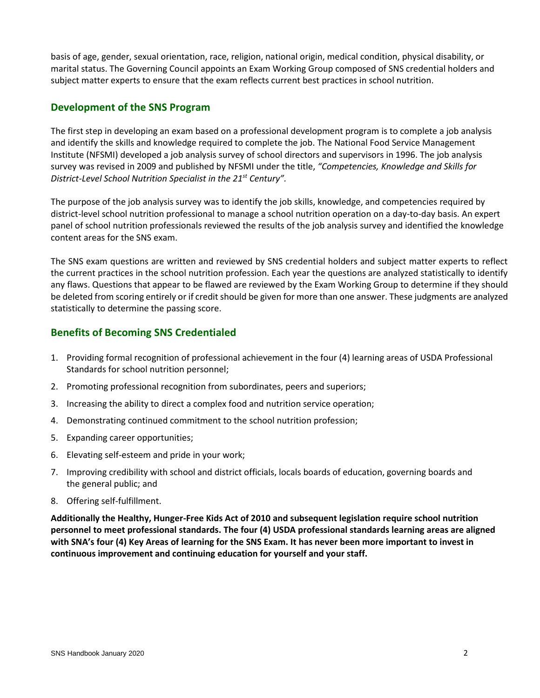basis of age, gender, sexual orientation, race, religion, national origin, medical condition, physical disability, or marital status. The Governing Council appoints an Exam Working Group composed of SNS credential holders and subject matter experts to ensure that the exam reflects current best practices in school nutrition.

# **Development of the SNS Program**

The first step in developing an exam based on a professional development program is to complete a job analysis and identify the skills and knowledge required to complete the job. The National Food Service Management Institute (NFSMI) developed a job analysis survey of school directors and supervisors in 1996. The job analysis survey was revised in 2009 and published by NFSMI under the title, *"Competencies, Knowledge and Skills for District-Level School Nutrition Specialist in the 21st Century".* 

The purpose of the job analysis survey was to identify the job skills, knowledge, and competencies required by district-level school nutrition professional to manage a school nutrition operation on a day-to-day basis. An expert panel of school nutrition professionals reviewed the results of the job analysis survey and identified the knowledge content areas for the SNS exam.

The SNS exam questions are written and reviewed by SNS credential holders and subject matter experts to reflect the current practices in the school nutrition profession. Each year the questions are analyzed statistically to identify any flaws. Questions that appear to be flawed are reviewed by the Exam Working Group to determine if they should be deleted from scoring entirely or if credit should be given for more than one answer. These judgments are analyzed statistically to determine the passing score.

# **Benefits of Becoming SNS Credentialed**

- 1. Providing formal recognition of professional achievement in the four (4) learning areas of USDA Professional Standards for school nutrition personnel;
- 2. Promoting professional recognition from subordinates, peers and superiors;
- 3. Increasing the ability to direct a complex food and nutrition service operation;
- 4. Demonstrating continued commitment to the school nutrition profession;
- 5. Expanding career opportunities;
- 6. Elevating self-esteem and pride in your work;
- 7. Improving credibility with school and district officials, locals boards of education, governing boards and the general public; and
- 8. Offering self-fulfillment.

**Additionally the Healthy, Hunger-Free Kids Act of 2010 and subsequent legislation require school nutrition personnel to meet professional standards. The four (4) USDA professional standards learning areas are aligned with SNA's four (4) Key Areas of learning for the SNS Exam. It has never been more important to invest in continuous improvement and continuing education for yourself and your staff.**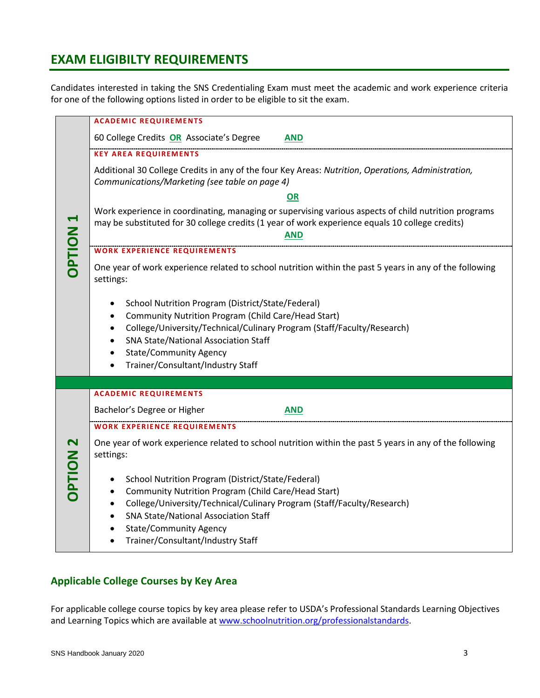# **EXAM ELIGIBILTY REQUIREMENTS**

Candidates interested in taking the SNS Credentialing Exam must meet the academic and work experience criteria for one of the following options listed in order to be eligible to sit the exam.

|                              | <b>ACADEMIC REQUIREMENTS</b>                                                                                                                                                                                                                                                                                        |
|------------------------------|---------------------------------------------------------------------------------------------------------------------------------------------------------------------------------------------------------------------------------------------------------------------------------------------------------------------|
| <b>DPTION</b>                | 60 College Credits OR Associate's Degree<br><b>AND</b>                                                                                                                                                                                                                                                              |
|                              | <b>KEY AREA REQUIREMENTS</b>                                                                                                                                                                                                                                                                                        |
|                              | Additional 30 College Credits in any of the four Key Areas: Nutrition, Operations, Administration,<br>Communications/Marketing (see table on page 4)                                                                                                                                                                |
|                              | OR<br>Work experience in coordinating, managing or supervising various aspects of child nutrition programs<br>may be substituted for 30 college credits (1 year of work experience equals 10 college credits)<br><b>AND</b>                                                                                         |
|                              | <b>WORK EXPERIENCE REQUIREMENTS</b>                                                                                                                                                                                                                                                                                 |
|                              | One year of work experience related to school nutrition within the past 5 years in any of the following<br>settings:                                                                                                                                                                                                |
|                              | School Nutrition Program (District/State/Federal)<br>Community Nutrition Program (Child Care/Head Start)<br>٠<br>College/University/Technical/Culinary Program (Staff/Faculty/Research)<br><b>SNA State/National Association Staff</b><br><b>State/Community Agency</b><br>Trainer/Consultant/Industry Staff        |
|                              | <b>ACADEMIC REQUIREMENTS</b>                                                                                                                                                                                                                                                                                        |
|                              |                                                                                                                                                                                                                                                                                                                     |
|                              | Bachelor's Degree or Higher<br><b>AND</b>                                                                                                                                                                                                                                                                           |
|                              | <b>WORK EXPERIENCE REQUIREMENTS</b>                                                                                                                                                                                                                                                                                 |
| $\mathbf 2$<br><b>NOILdC</b> | One year of work experience related to school nutrition within the past 5 years in any of the following<br>settings:                                                                                                                                                                                                |
|                              | School Nutrition Program (District/State/Federal)<br>٠<br><b>Community Nutrition Program (Child Care/Head Start)</b><br>College/University/Technical/Culinary Program (Staff/Faculty/Research)<br><b>SNA State/National Association Staff</b><br><b>State/Community Agency</b><br>Trainer/Consultant/Industry Staff |

# **Applicable College Courses by Key Area**

For applicable college course topics by key area please refer to USDA's Professional Standards Learning Objectives and Learning Topics which are available a[t www.schoolnutrition.org/professionalstandards.](http://www.schoolnutrition.org/professionalstandards)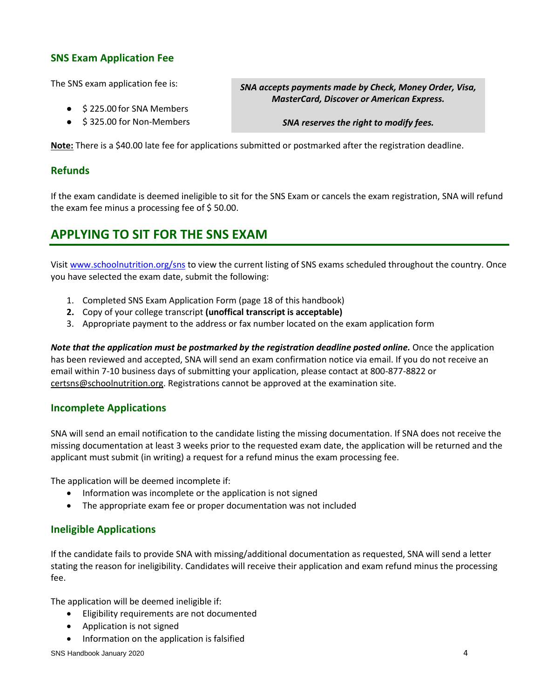# **SNS Exam Application Fee**

The SNS exam application fee is:

- \$ 225.00 for SNA Members
- \$ 325.00 for Non-Members

*SNA accepts payments made by Check, Money Order, Visa, MasterCard, Discover or American Express.*

*SNA reserves the right to modify fees.*

**Note:** There is a \$40.00 late fee for applications submitted or postmarked after the registration deadline.

# **Refunds**

If the exam candidate is deemed ineligible to sit for the SNS Exam or cancels the exam registration, SNA will refund the exam fee minus a processing fee of \$ 50.00.

# **APPLYING TO SIT FOR THE SNS EXAM**

Visit [www.schoolnutrition.org/sns](http://www.schoolnutrition.org/sns) to view the current listing of SNS exams scheduled throughout the country. Once you have selected the exam date, submit the following:

- 1. Completed SNS Exam Application Form (page 18 of this handbook)
- **2.** Copy of your college transcript **(unoffical transcript is acceptable)**
- 3. Appropriate payment to the address or fax number located on the exam application form

*Note that the application must be postmarked by the registration deadline posted online.* Once the application has been reviewed and accepted, SNA will send an exam confirmation notice via email. If you do not receive an email within 7-10 business days of submitting your application, please contact at 800-877-8822 or [certsns@schoolnutrition.org.](mailto:certsns@schoolnutrition.org) Registrations cannot be approved at the examination site.

# **Incomplete Applications**

SNA will send an email notification to the candidate listing the missing documentation. If SNA does not receive the missing documentation at least 3 weeks prior to the requested exam date, the application will be returned and the applicant must submit (in writing) a request for a refund minus the exam processing fee.

The application will be deemed incomplete if:

- Information was incomplete or the application is not signed
- The appropriate exam fee or proper documentation was not included

# **Ineligible Applications**

If the candidate fails to provide SNA with missing/additional documentation as requested, SNA will send a letter stating the reason for ineligibility. Candidates will receive their application and exam refund minus the processing fee.

The application will be deemed ineligible if:

- Eligibility requirements are not documented
- Application is not signed
- Information on the application is falsified

SNS Handbook January 2020 4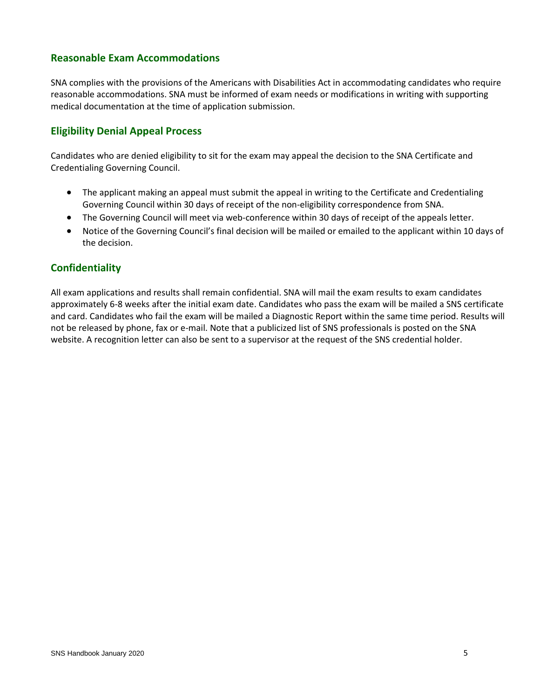# **Reasonable Exam Accommodations**

SNA complies with the provisions of the Americans with Disabilities Act in accommodating candidates who require reasonable accommodations. SNA must be informed of exam needs or modifications in writing with supporting medical documentation at the time of application submission.

# **Eligibility Denial Appeal Process**

Candidates who are denied eligibility to sit for the exam may appeal the decision to the SNA Certificate and Credentialing Governing Council.

- The applicant making an appeal must submit the appeal in writing to the Certificate and Credentialing Governing Council within 30 days of receipt of the non-eligibility correspondence from SNA.
- The Governing Council will meet via web-conference within 30 days of receipt of the appeals letter.
- Notice of the Governing Council's final decision will be mailed or emailed to the applicant within 10 days of the decision.

# **Confidentiality**

All exam applications and results shall remain confidential. SNA will mail the exam results to exam candidates approximately 6-8 weeks after the initial exam date. Candidates who pass the exam will be mailed a SNS certificate and card. Candidates who fail the exam will be mailed a Diagnostic Report within the same time period. Results will not be released by phone, fax or e-mail. Note that a publicized list of SNS professionals is posted on the SNA website. A recognition letter can also be sent to a supervisor at the request of the SNS credential holder.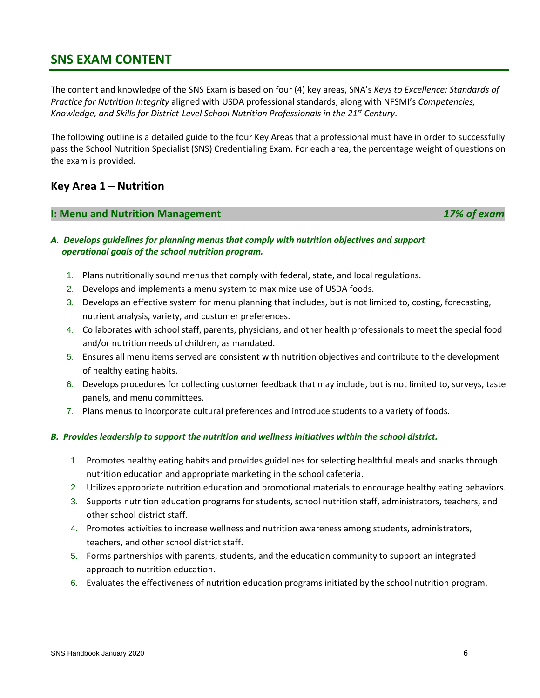# **SNS EXAM CONTENT**

The content and knowledge of the SNS Exam is based on four (4) key areas, SNA's *Keys to Excellence: Standards of Practice for Nutrition Integrity* aligned with USDA professional standards, along with NFSMI's *Competencies, Knowledge, and Skills for District-Level School Nutrition Professionals in the 21st Century*.

The following outline is a detailed guide to the four Key Areas that a professional must have in order to successfully pass the School Nutrition Specialist (SNS) Credentialing Exam. For each area, the percentage weight of questions on the exam is provided.

# **Key Area 1 – Nutrition**

#### **I: Menu and Nutrition Management** *17% of exam*

# *A. Develops guidelines for planning menus that comply with nutrition objectives and support operational goals of the school nutrition program.*

- 1. Plans nutritionally sound menus that comply with federal, state, and local regulations.
- 2. Develops and implements a menu system to maximize use of USDA foods.
- 3. Develops an effective system for menu planning that includes, but is not limited to, costing, forecasting, nutrient analysis, variety, and customer preferences.
- 4. Collaborates with school staff, parents, physicians, and other health professionals to meet the special food and/or nutrition needs of children, as mandated.
- 5. Ensures all menu items served are consistent with nutrition objectives and contribute to the development of healthy eating habits.
- 6. Develops procedures for collecting customer feedback that may include, but is not limited to, surveys, taste panels, and menu committees.
- 7. Plans menus to incorporate cultural preferences and introduce students to a variety of foods.

#### *B. Provides leadership to support the nutrition and wellness initiatives within the school district.*

- 1. Promotes healthy eating habits and provides guidelines for selecting healthful meals and snacks through nutrition education and appropriate marketing in the school cafeteria.
- 2. Utilizes appropriate nutrition education and promotional materials to encourage healthy eating behaviors.
- 3. Supports nutrition education programs for students, school nutrition staff, administrators, teachers, and other school district staff.
- 4. Promotes activities to increase wellness and nutrition awareness among students, administrators, teachers, and other school district staff.
- 5. Forms partnerships with parents, students, and the education community to support an integrated approach to nutrition education.
- 6. Evaluates the effectiveness of nutrition education programs initiated by the school nutrition program.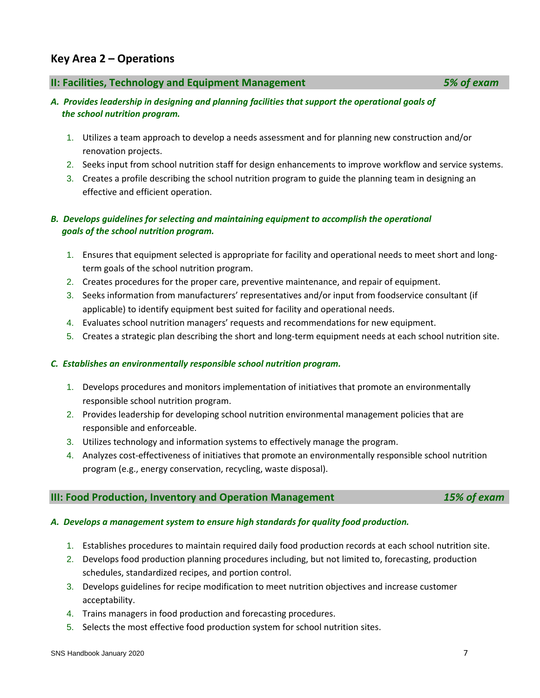# 3. Develops guidelines for recipe modification to meet nutrition objectives and increase customer

- 4. Trains managers in food production and forecasting procedures.
- 5. Selects the most effective food production system for school nutrition sites.

# **Key Area 2 – Operations**

#### **II: Facilities, Technology and Equipment Management** *5% of exam*

# *A. Provides leadership in designing and planning facilities that support the operational goals of the school nutrition program.*

- 1. Utilizes a team approach to develop a needs assessment and for planning new construction and/or renovation projects.
- 2. Seeks input from school nutrition staff for design enhancements to improve workflow and service systems.
- 3. Creates a profile describing the school nutrition program to guide the planning team in designing an effective and efficient operation.

# *B. Develops guidelines for selecting and maintaining equipment to accomplish the operational goals of the school nutrition program.*

- 1. Ensures that equipment selected is appropriate for facility and operational needs to meet short and longterm goals of the school nutrition program.
- 2. Creates procedures for the proper care, preventive maintenance, and repair of equipment.
- 3. Seeks information from manufacturers' representatives and/or input from foodservice consultant (if applicable) to identify equipment best suited for facility and operational needs.
- 4. Evaluates school nutrition managers' requests and recommendations for new equipment.
- 5. Creates a strategic plan describing the short and long-term equipment needs at each school nutrition site.

#### *C. Establishes an environmentally responsible school nutrition program.*

- 1. Develops procedures and monitors implementation of initiatives that promote an environmentally responsible school nutrition program.
- 2. Provides leadership for developing school nutrition environmental management policies that are responsible and enforceable.
- 3. Utilizes technology and information systems to effectively manage the program.
- 4. Analyzes cost-effectiveness of initiatives that promote an environmentally responsible school nutrition program (e.g., energy conservation, recycling, waste disposal).

**III: Food Production, Inventory and Operation Management** *15% of exam*

# *A. Develops a management system to ensure high standards for quality food production.*

- 1. Establishes procedures to maintain required daily food production records at each school nutrition site.
- 2. Develops food production planning procedures including, but not limited to, forecasting, production schedules, standardized recipes, and portion control.
- acceptability.
	-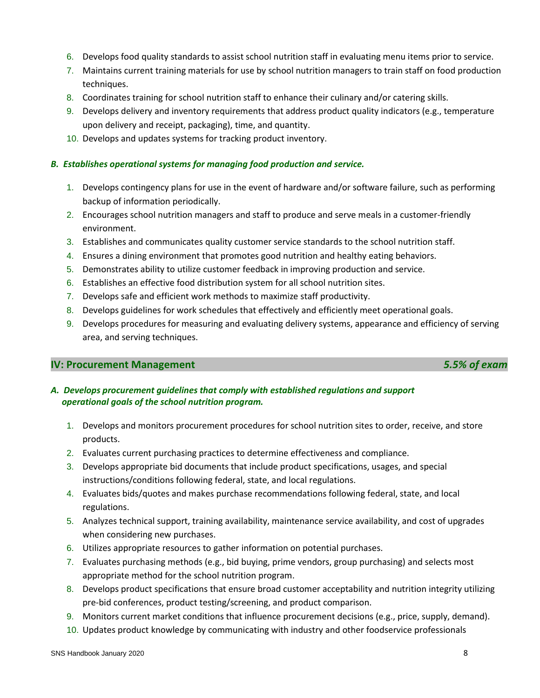- 6. Develops food quality standards to assist school nutrition staff in evaluating menu items prior to service.
- 7. Maintains current training materials for use by school nutrition managers to train staff on food production techniques.
- 8. Coordinates training for school nutrition staff to enhance their culinary and/or catering skills.
- 9. Develops delivery and inventory requirements that address product quality indicators (e.g., temperature upon delivery and receipt, packaging), time, and quantity.
- 10. Develops and updates systems for tracking product inventory.

#### *B. Establishes operational systems for managing food production and service.*

- 1. Develops contingency plans for use in the event of hardware and/or software failure, such as performing backup of information periodically.
- 2. Encourages school nutrition managers and staff to produce and serve meals in a customer-friendly environment.
- 3. Establishes and communicates quality customer service standards to the school nutrition staff.
- 4. Ensures a dining environment that promotes good nutrition and healthy eating behaviors.
- 5. Demonstrates ability to utilize customer feedback in improving production and service.
- 6. Establishes an effective food distribution system for all school nutrition sites.
- 7. Develops safe and efficient work methods to maximize staff productivity.
- 8. Develops guidelines for work schedules that effectively and efficiently meet operational goals.
- 9. Develops procedures for measuring and evaluating delivery systems, appearance and efficiency of serving area, and serving techniques.

# **IV: Procurement Management** *5.5% of exam*

*A. Develops procurement guidelines that comply with established regulations and support operational goals of the school nutrition program.*

- 1. Develops and monitors procurement procedures for school nutrition sites to order, receive, and store products.
- 2. Evaluates current purchasing practices to determine effectiveness and compliance.
- 3. Develops appropriate bid documents that include product specifications, usages, and special instructions/conditions following federal, state, and local regulations.
- 4. Evaluates bids/quotes and makes purchase recommendations following federal, state, and local regulations.
- 5. Analyzes technical support, training availability, maintenance service availability, and cost of upgrades when considering new purchases.
- 6. Utilizes appropriate resources to gather information on potential purchases.
- 7. Evaluates purchasing methods (e.g., bid buying, prime vendors, group purchasing) and selects most appropriate method for the school nutrition program.
- 8. Develops product specifications that ensure broad customer acceptability and nutrition integrity utilizing pre-bid conferences, product testing/screening, and product comparison.
- 9. Monitors current market conditions that influence procurement decisions (e.g., price, supply, demand).
- 10. Updates product knowledge by communicating with industry and other foodservice professionals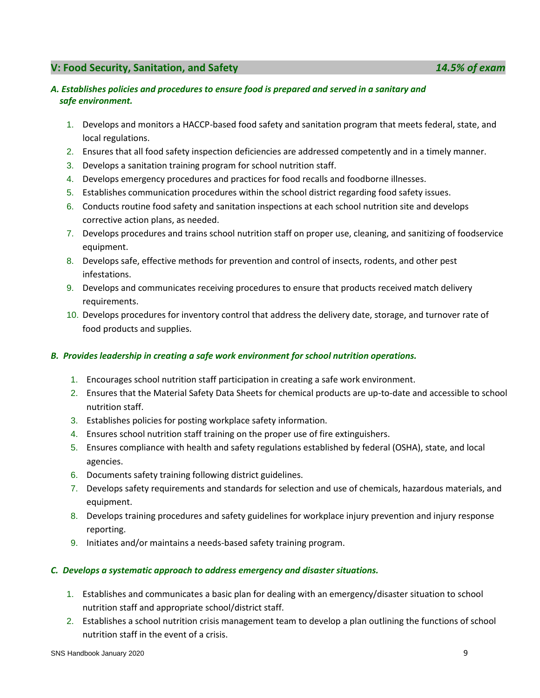# **V: Food Security, Sanitation, and Safety** *14.5% of exam*

#### *A. Establishes policies and procedures to ensure food is prepared and served in a sanitary and safe environment.*

- 1. Develops and monitors a HACCP-based food safety and sanitation program that meets federal, state, and local regulations.
- 2. Ensures that all food safety inspection deficiencies are addressed competently and in a timely manner.
- 3. Develops a sanitation training program for school nutrition staff.
- 4. Develops emergency procedures and practices for food recalls and foodborne illnesses.
- 5. Establishes communication procedures within the school district regarding food safety issues.
- 6. Conducts routine food safety and sanitation inspections at each school nutrition site and develops corrective action plans, as needed.
- 7. Develops procedures and trains school nutrition staff on proper use, cleaning, and sanitizing of foodservice equipment.
- 8. Develops safe, effective methods for prevention and control of insects, rodents, and other pest infestations.
- 9. Develops and communicates receiving procedures to ensure that products received match delivery requirements.
- 10. Develops procedures for inventory control that address the delivery date, storage, and turnover rate of food products and supplies.

# *B. Provides leadership in creating a safe work environment for school nutrition operations.*

- 1. Encourages school nutrition staff participation in creating a safe work environment.
- 2. Ensures that the Material Safety Data Sheets for chemical products are up-to-date and accessible to school nutrition staff.
- 3. Establishes policies for posting workplace safety information.
- 4. Ensures school nutrition staff training on the proper use of fire extinguishers.
- 5. Ensures compliance with health and safety regulations established by federal (OSHA), state, and local agencies.
- 6. Documents safety training following district guidelines.
- 7. Develops safety requirements and standards for selection and use of chemicals, hazardous materials, and equipment.
- 8. Develops training procedures and safety guidelines for workplace injury prevention and injury response reporting.
- 9. Initiates and/or maintains a needs-based safety training program.

#### *C. Develops a systematic approach to address emergency and disaster situations.*

- 1. Establishes and communicates a basic plan for dealing with an emergency/disaster situation to school nutrition staff and appropriate school/district staff.
- 2. Establishes a school nutrition crisis management team to develop a plan outlining the functions of school nutrition staff in the event of a crisis.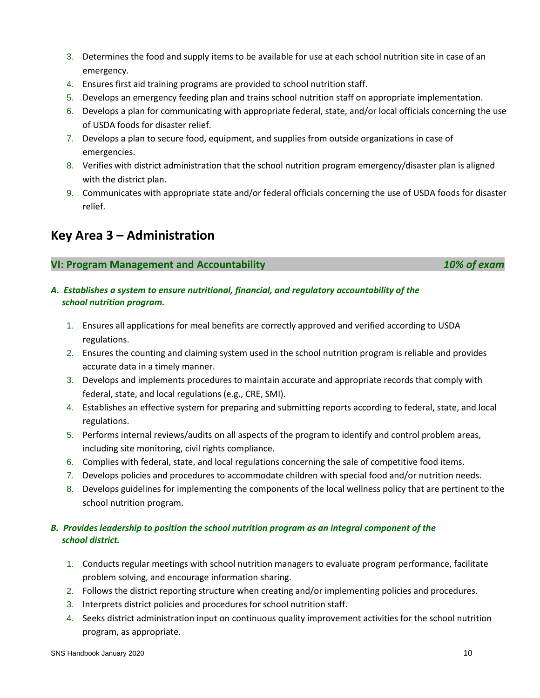- 3. Determines the food and supply items to be available for use at each school nutrition site in case of an emergency.
- 4. Ensures first aid training programs are provided to school nutrition staff.
- 5. Develops an emergency feeding plan and trains school nutrition staff on appropriate implementation.
- 6. Develops a plan for communicating with appropriate federal, state, and/or local officials concerning the use of USDA foods for disaster relief.
- 7. Develops a plan to secure food, equipment, and supplies from outside organizations in case of emergencies.
- 8. Verifies with district administration that the school nutrition program emergency/disaster plan is aligned with the district plan.
- 9. Communicates with appropriate state and/or federal officials concerning the use of USDA foods for disaster relief.

# **Key Area 3 – Administration**

# **VI: Program Management and Accountability** *10% of exam*

# *A. Establishes a system to ensure nutritional, financial, and regulatory accountability of the school nutrition program.*

- 1. Ensures all applications for meal benefits are correctly approved and verified according to USDA regulations.
- 2. Ensures the counting and claiming system used in the school nutrition program is reliable and provides accurate data in a timely manner.
- 3. Develops and implements procedures to maintain accurate and appropriate records that comply with federal, state, and local regulations (e.g., CRE, SMI).
- 4. Establishes an effective system for preparing and submitting reports according to federal, state, and local regulations.
- 5. Performs internal reviews/audits on all aspects of the program to identify and control problem areas, including site monitoring, civil rights compliance.
- 6. Complies with federal, state, and local regulations concerning the sale of competitive food items.
- 7. Develops policies and procedures to accommodate children with special food and/or nutrition needs.
- 8. Develops guidelines for implementing the components of the local wellness policy that are pertinent to the school nutrition program.

# *B. Provides leadership to position the school nutrition program as an integral component of the school district.*

- 1. Conducts regular meetings with school nutrition managers to evaluate program performance, facilitate problem solving, and encourage information sharing.
- 2. Follows the district reporting structure when creating and/or implementing policies and procedures.
- 3. Interprets district policies and procedures for school nutrition staff.
- 4. Seeks district administration input on continuous quality improvement activities for the school nutrition program, as appropriate.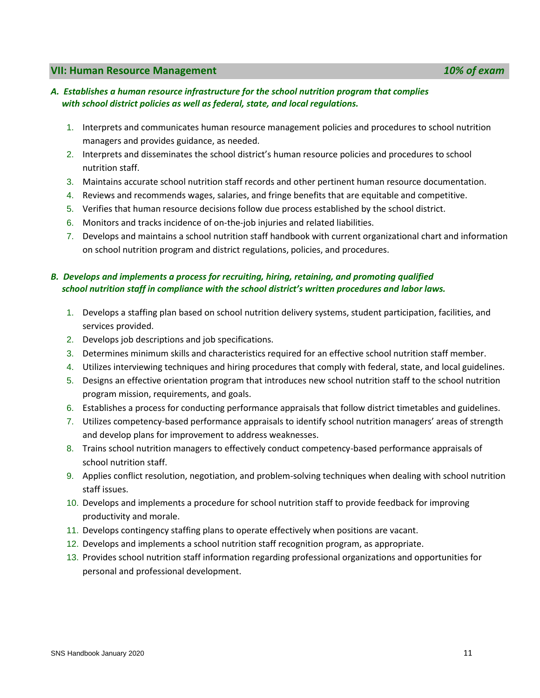#### **VII: Human Resource Management** *10% of exam*

#### *A. Establishes a human resource infrastructure for the school nutrition program that complies with school district policies as well as federal, state, and local regulations.*

- 1. Interprets and communicates human resource management policies and procedures to school nutrition managers and provides guidance, as needed.
- 2. Interprets and disseminates the school district's human resource policies and procedures to school nutrition staff.
- 3. Maintains accurate school nutrition staff records and other pertinent human resource documentation.
- 4. Reviews and recommends wages, salaries, and fringe benefits that are equitable and competitive.
- 5. Verifies that human resource decisions follow due process established by the school district.
- 6. Monitors and tracks incidence of on-the-job injuries and related liabilities.
- 7. Develops and maintains a school nutrition staff handbook with current organizational chart and information on school nutrition program and district regulations, policies, and procedures.

# *B. Develops and implements a process for recruiting, hiring, retaining, and promoting qualified school nutrition staff in compliance with the school district's written procedures and labor laws.*

- 1. Develops a staffing plan based on school nutrition delivery systems, student participation, facilities, and services provided.
- 2. Develops job descriptions and job specifications.
- 3. Determines minimum skills and characteristics required for an effective school nutrition staff member.
- 4. Utilizes interviewing techniques and hiring procedures that comply with federal, state, and local guidelines.
- 5. Designs an effective orientation program that introduces new school nutrition staff to the school nutrition program mission, requirements, and goals.
- 6. Establishes a process for conducting performance appraisals that follow district timetables and guidelines.
- 7. Utilizes competency-based performance appraisals to identify school nutrition managers' areas of strength and develop plans for improvement to address weaknesses.
- 8. Trains school nutrition managers to effectively conduct competency-based performance appraisals of school nutrition staff.
- 9. Applies conflict resolution, negotiation, and problem-solving techniques when dealing with school nutrition staff issues.
- 10. Develops and implements a procedure for school nutrition staff to provide feedback for improving productivity and morale.
- 11. Develops contingency staffing plans to operate effectively when positions are vacant.
- 12. Develops and implements a school nutrition staff recognition program, as appropriate.
- 13. Provides school nutrition staff information regarding professional organizations and opportunities for personal and professional development.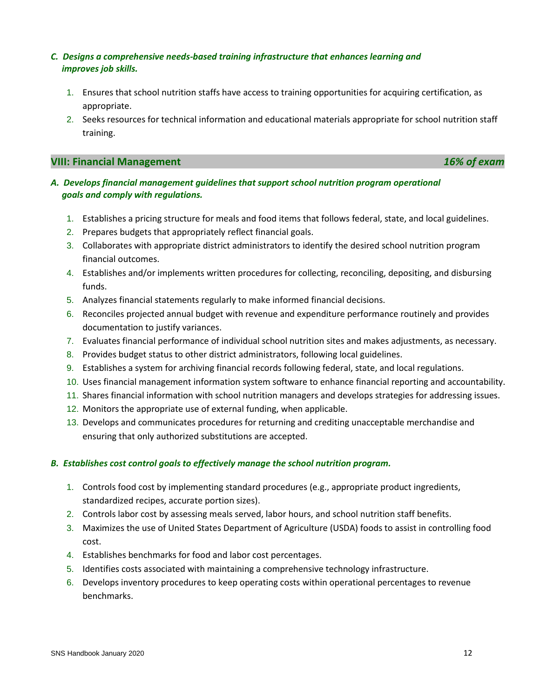# *C. Designs a comprehensive needs-based training infrastructure that enhances learning and improves job skills.*

- 1. Ensures that school nutrition staffs have access to training opportunities for acquiring certification, as appropriate.
- 2. Seeks resources for technical information and educational materials appropriate for school nutrition staff training.

# **VIII: Financial Management** *16% of exam*

- *A. Develops financial management guidelines that support school nutrition program operational goals and comply with regulations.*
	- 1. Establishes a pricing structure for meals and food items that follows federal, state, and local guidelines.
	- 2. Prepares budgets that appropriately reflect financial goals.
	- 3. Collaborates with appropriate district administrators to identify the desired school nutrition program financial outcomes.
	- 4. Establishes and/or implements written procedures for collecting, reconciling, depositing, and disbursing funds.
	- 5. Analyzes financial statements regularly to make informed financial decisions.
	- 6. Reconciles projected annual budget with revenue and expenditure performance routinely and provides documentation to justify variances.
	- 7. Evaluates financial performance of individual school nutrition sites and makes adjustments, as necessary.
	- 8. Provides budget status to other district administrators, following local guidelines.
	- 9. Establishes a system for archiving financial records following federal, state, and local regulations.
	- 10. Uses financial management information system software to enhance financial reporting and accountability.
	- 11. Shares financial information with school nutrition managers and develops strategies for addressing issues.
	- 12. Monitors the appropriate use of external funding, when applicable.
	- 13. Develops and communicates procedures for returning and crediting unacceptable merchandise and ensuring that only authorized substitutions are accepted.

# *B. Establishes cost control goals to effectively manage the school nutrition program.*

- 1. Controls food cost by implementing standard procedures (e.g., appropriate product ingredients, standardized recipes, accurate portion sizes).
- 2. Controls labor cost by assessing meals served, labor hours, and school nutrition staff benefits.
- 3. Maximizes the use of United States Department of Agriculture (USDA) foods to assist in controlling food cost.
- 4. Establishes benchmarks for food and labor cost percentages.
- 5. Identifies costs associated with maintaining a comprehensive technology infrastructure.
- 6. Develops inventory procedures to keep operating costs within operational percentages to revenue benchmarks.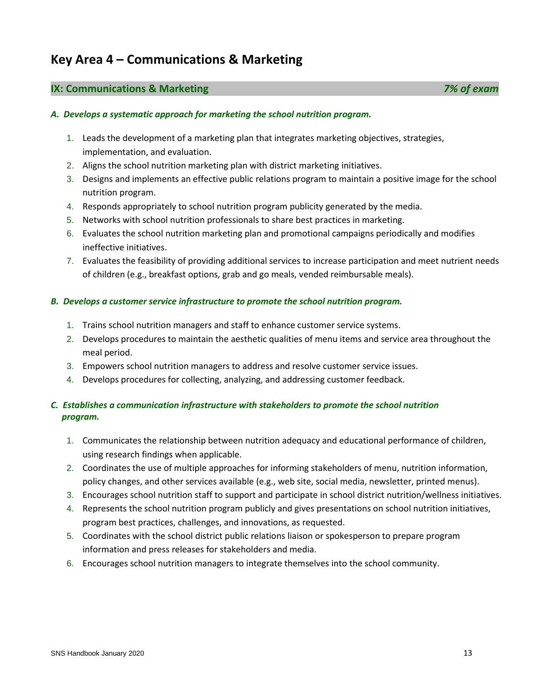# **Key Area 4 – Communications & Marketing**

# **IX: Communications & Marketing** *7% of exam*

# *A. Develops a systematic approach for marketing the school nutrition program.*

- 1. Leads the development of a marketing plan that integrates marketing objectives, strategies, implementation, and evaluation.
- 2. Aligns the school nutrition marketing plan with district marketing initiatives.
- 3. Designs and implements an effective public relations program to maintain a positive image for the school nutrition program.
- 4. Responds appropriately to school nutrition program publicity generated by the media.
- 5. Networks with school nutrition professionals to share best practices in marketing.
- 6. Evaluates the school nutrition marketing plan and promotional campaigns periodically and modifies ineffective initiatives.
- 7. Evaluates the feasibility of providing additional services to increase participation and meet nutrient needs of children (e.g., breakfast options, grab and go meals, vended reimbursable meals).

#### *B. Develops a customer service infrastructure to promote the school nutrition program.*

- 1. Trains school nutrition managers and staff to enhance customer service systems.
- 2. Develops procedures to maintain the aesthetic qualities of menu items and service area throughout the meal period.
- 3. Empowers school nutrition managers to address and resolve customer service issues.
- 4. Develops procedures for collecting, analyzing, and addressing customer feedback.

# *C. Establishes a communication infrastructure with stakeholders to promote the school nutrition program.*

- 1. Communicates the relationship between nutrition adequacy and educational performance of children, using research findings when applicable.
- 2. Coordinates the use of multiple approaches for informing stakeholders of menu, nutrition information, policy changes, and other services available (e.g., web site, social media, newsletter, printed menus).
- 3. Encourages school nutrition staff to support and participate in school district nutrition/wellness initiatives.
- 4. Represents the school nutrition program publicly and gives presentations on school nutrition initiatives, program best practices, challenges, and innovations, as requested.
- 5. Coordinates with the school district public relations liaison or spokesperson to prepare program information and press releases for stakeholders and media.
- 6. Encourages school nutrition managers to integrate themselves into the school community.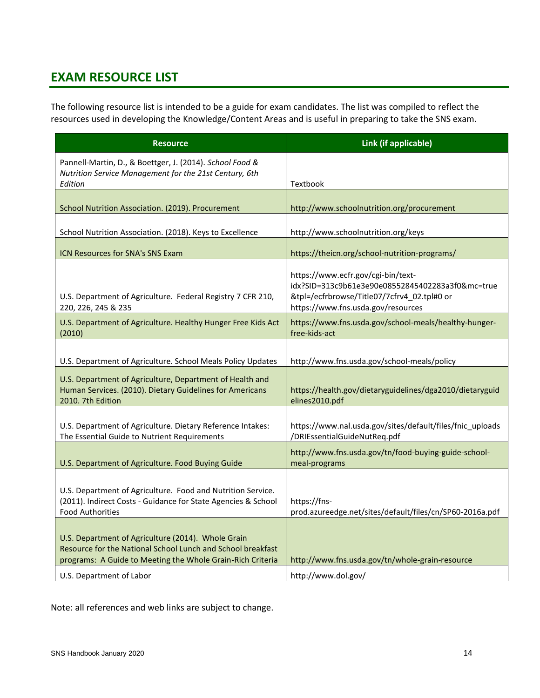# **EXAM RESOURCE LIST**

The following resource list is intended to be a guide for exam candidates. The list was compiled to reflect the resources used in developing the Knowledge/Content Areas and is useful in preparing to take the SNS exam.

| <b>Resource</b>                                                                                                                                                                 | Link (if applicable)                                                                                                                                                        |
|---------------------------------------------------------------------------------------------------------------------------------------------------------------------------------|-----------------------------------------------------------------------------------------------------------------------------------------------------------------------------|
| Pannell-Martin, D., & Boettger, J. (2014). School Food &<br>Nutrition Service Management for the 21st Century, 6th<br>Edition                                                   | Textbook                                                                                                                                                                    |
| School Nutrition Association. (2019). Procurement                                                                                                                               | http://www.schoolnutrition.org/procurement                                                                                                                                  |
| School Nutrition Association. (2018). Keys to Excellence                                                                                                                        | http://www.schoolnutrition.org/keys                                                                                                                                         |
| ICN Resources for SNA's SNS Exam                                                                                                                                                | https://theicn.org/school-nutrition-programs/                                                                                                                               |
| U.S. Department of Agriculture. Federal Registry 7 CFR 210,<br>220, 226, 245 & 235                                                                                              | https://www.ecfr.gov/cgi-bin/text-<br>idx?SID=313c9b61e3e90e08552845402283a3f0&mc=true<br>&tpl=/ecfrbrowse/Title07/7cfrv4_02.tpl#0 or<br>https://www.fns.usda.gov/resources |
| U.S. Department of Agriculture. Healthy Hunger Free Kids Act<br>(2010)                                                                                                          | https://www.fns.usda.gov/school-meals/healthy-hunger-<br>free-kids-act                                                                                                      |
| U.S. Department of Agriculture. School Meals Policy Updates                                                                                                                     | http://www.fns.usda.gov/school-meals/policy                                                                                                                                 |
| U.S. Department of Agriculture, Department of Health and<br>Human Services. (2010). Dietary Guidelines for Americans<br>2010. 7th Edition                                       | https://health.gov/dietaryguidelines/dga2010/dietaryguid<br>elines2010.pdf                                                                                                  |
| U.S. Department of Agriculture. Dietary Reference Intakes:<br>The Essential Guide to Nutrient Requirements                                                                      | https://www.nal.usda.gov/sites/default/files/fnic_uploads<br>/DRIEssentialGuideNutReq.pdf                                                                                   |
| U.S. Department of Agriculture. Food Buying Guide                                                                                                                               | http://www.fns.usda.gov/tn/food-buying-guide-school-<br>meal-programs                                                                                                       |
| U.S. Department of Agriculture. Food and Nutrition Service.<br>(2011). Indirect Costs - Guidance for State Agencies & School<br><b>Food Authorities</b>                         | https://fns-<br>prod.azureedge.net/sites/default/files/cn/SP60-2016a.pdf                                                                                                    |
| U.S. Department of Agriculture (2014). Whole Grain<br>Resource for the National School Lunch and School breakfast<br>programs: A Guide to Meeting the Whole Grain-Rich Criteria | http://www.fns.usda.gov/tn/whole-grain-resource                                                                                                                             |
| U.S. Department of Labor                                                                                                                                                        | http://www.dol.gov/                                                                                                                                                         |

Note: all references and web links are subject to change.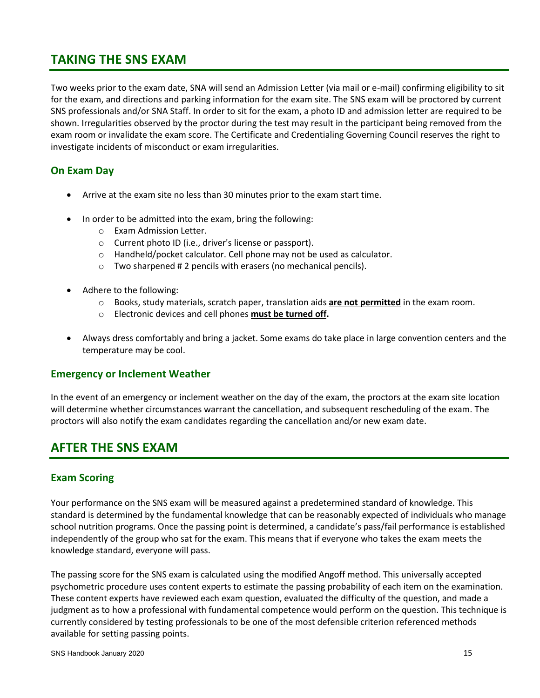# **TAKING THE SNS EXAM**

Two weeks prior to the exam date, SNA will send an Admission Letter (via mail or e-mail) confirming eligibility to sit for the exam, and directions and parking information for the exam site. The SNS exam will be proctored by current SNS professionals and/or SNA Staff. In order to sit for the exam, a photo ID and admission letter are required to be shown. Irregularities observed by the proctor during the test may result in the participant being removed from the exam room or invalidate the exam score. The Certificate and Credentialing Governing Council reserves the right to investigate incidents of misconduct or exam irregularities.

# **On Exam Day**

- Arrive at the exam site no less than 30 minutes prior to the exam start time.
- In order to be admitted into the exam, bring the following:
	- o Exam Admission Letter.
	- o Current photo ID (i.e., driver's license or passport).
	- o Handheld/pocket calculator. Cell phone may not be used as calculator.
	- $\circ$  Two sharpened #2 pencils with erasers (no mechanical pencils).
- Adhere to the following:
	- o Books, study materials, scratch paper, translation aids **are not permitted** in the exam room.
	- o Electronic devices and cell phones **must be turned off.**
- Always dress comfortably and bring a jacket. Some exams do take place in large convention centers and the temperature may be cool.

# **Emergency or Inclement Weather**

In the event of an emergency or inclement weather on the day of the exam, the proctors at the exam site location will determine whether circumstances warrant the cancellation, and subsequent rescheduling of the exam. The proctors will also notify the exam candidates regarding the cancellation and/or new exam date.

# **AFTER THE SNS EXAM**

# **Exam Scoring**

Your performance on the SNS exam will be measured against a predetermined standard of knowledge. This standard is determined by the fundamental knowledge that can be reasonably expected of individuals who manage school nutrition programs. Once the passing point is determined, a candidate's pass/fail performance is established independently of the group who sat for the exam. This means that if everyone who takes the exam meets the knowledge standard, everyone will pass.

The passing score for the SNS exam is calculated using the modified Angoff method. This universally accepted psychometric procedure uses content experts to estimate the passing probability of each item on the examination. These content experts have reviewed each exam question, evaluated the difficulty of the question, and made a judgment as to how a professional with fundamental competence would perform on the question. This technique is currently considered by testing professionals to be one of the most defensible criterion referenced methods available for setting passing points.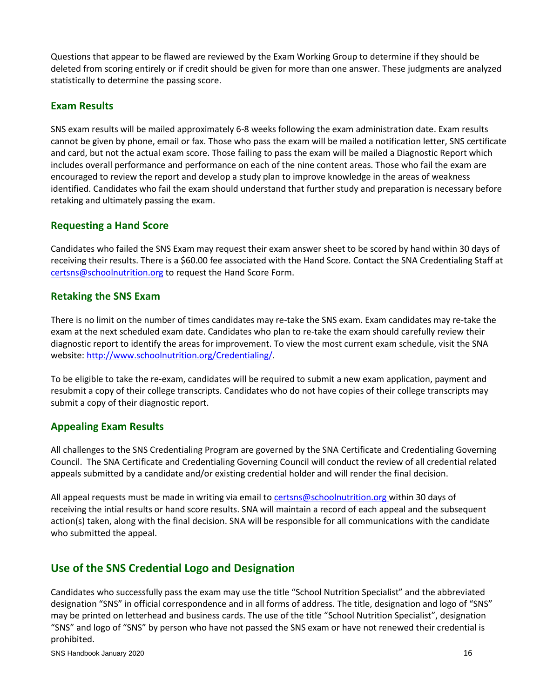Questions that appear to be flawed are reviewed by the Exam Working Group to determine if they should be deleted from scoring entirely or if credit should be given for more than one answer. These judgments are analyzed statistically to determine the passing score.

# **Exam Results**

SNS exam results will be mailed approximately 6-8 weeks following the exam administration date. Exam results cannot be given by phone, email or fax. Those who pass the exam will be mailed a notification letter, SNS certificate and card, but not the actual exam score. Those failing to pass the exam will be mailed a Diagnostic Report which includes overall performance and performance on each of the nine content areas. Those who fail the exam are encouraged to review the report and develop a study plan to improve knowledge in the areas of weakness identified. Candidates who fail the exam should understand that further study and preparation is necessary before retaking and ultimately passing the exam.

# **Requesting a Hand Score**

Candidates who failed the SNS Exam may request their exam answer sheet to be scored by hand within 30 days of receiving their results. There is a \$60.00 fee associated with the Hand Score. Contact the SNA Credentialing Staff at [certsns@schoolnutrition.org](mailto:certsns@schoolnutrition.org) to request the Hand Score Form.

# **Retaking the SNS Exam**

There is no limit on the number of times candidates may re-take the SNS exam. Exam candidates may re-take the exam at the next scheduled exam date. Candidates who plan to re-take the exam should carefully review their diagnostic report to identify the areas for improvement. To view the most current exam schedule, visit the SNA website: [http://www.schoolnutrition.org/Credentialing/.](http://www.schoolnutrition.org/Credentialing/)

To be eligible to take the re-exam, candidates will be required to submit a new exam application, payment and resubmit a copy of their college transcripts. Candidates who do not have copies of their college transcripts may submit a copy of their diagnostic report.

# **Appealing Exam Results**

All challenges to the SNS Credentialing Program are governed by the SNA Certificate and Credentialing Governing Council. The SNA Certificate and Credentialing Governing Council will conduct the review of all credential related appeals submitted by a candidate and/or existing credential holder and will render the final decision.

All appeal requests must be made in writing via email t[o certsns@schoolnutrition.org](mailto:certsns@schoolnutrition.org) within 30 days of receiving the intial results or hand score results. SNA will maintain a record of each appeal and the subsequent action(s) taken, along with the final decision. SNA will be responsible for all communications with the candidate who submitted the appeal.

# **Use of the SNS Credential Logo and Designation**

Candidates who successfully pass the exam may use the title "School Nutrition Specialist" and the abbreviated designation "SNS" in official correspondence and in all forms of address. The title, designation and logo of "SNS" may be printed on letterhead and business cards. The use of the title "School Nutrition Specialist", designation "SNS" and logo of "SNS" by person who have not passed the SNS exam or have not renewed their credential is prohibited.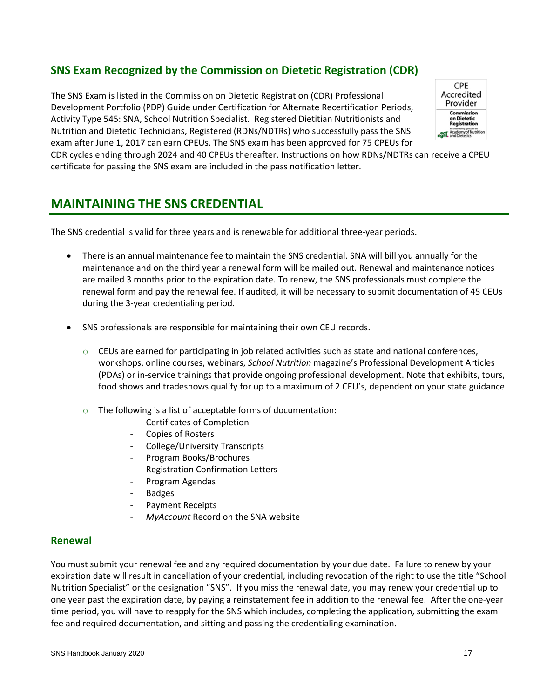# **SNS Exam Recognized by the Commission on Dietetic Registration (CDR)**

The SNS Exam is listed in the Commission on Dietetic Registration (CDR) Professional Development Portfolio (PDP) Guide under Certification for Alternate Recertification Periods, Activity Type 545: SNA, School Nutrition Specialist. Registered Dietitian Nutritionists and Nutrition and Dietetic Technicians, Registered (RDNs/NDTRs) who successfully pass the SNS exam after June 1, 2017 can earn CPEUs. The SNS exam has been approved for 75 CPEUs for



CDR cycles ending through 2024 and 40 CPEUs thereafter. Instructions on how RDNs/NDTRs can receive a CPEU certificate for passing the SNS exam are included in the pass notification letter.

# **MAINTAINING THE SNS CREDENTIAL**

The SNS credential is valid for three years and is renewable for additional three-year periods.

- There is an annual maintenance fee to maintain the SNS credential. SNA will bill you annually for the maintenance and on the third year a renewal form will be mailed out. Renewal and maintenance notices are mailed 3 months prior to the expiration date. To renew, the SNS professionals must complete the renewal form and pay the renewal fee. If audited, it will be necessary to submit documentation of 45 CEUs during the 3-year credentialing period.
- SNS professionals are responsible for maintaining their own CEU records.
	- $\circ$  CEUs are earned for participating in job related activities such as state and national conferences, workshops, online courses, webinars, *School Nutrition* magazine's Professional Development Articles (PDAs) or in-service trainings that provide ongoing professional development. Note that exhibits, tours, food shows and tradeshows qualify for up to a maximum of 2 CEU's, dependent on your state guidance.
	- o The following is a list of acceptable forms of documentation:
		- Certificates of Completion
		- Copies of Rosters
		- College/University Transcripts
		- Program Books/Brochures
		- Registration Confirmation Letters
		- Program Agendas
		- **Badges**
		- Payment Receipts
		- *MyAccount* Record on the SNA website

#### **Renewal**

You must submit your renewal fee and any required documentation by your due date. Failure to renew by your expiration date will result in cancellation of your credential, including revocation of the right to use the title "School Nutrition Specialist" or the designation "SNS". If you miss the renewal date, you may renew your credential up to one year past the expiration date, by paying a reinstatement fee in addition to the renewal fee. After the one-year time period, you will have to reapply for the SNS which includes, completing the application, submitting the exam fee and required documentation, and sitting and passing the credentialing examination.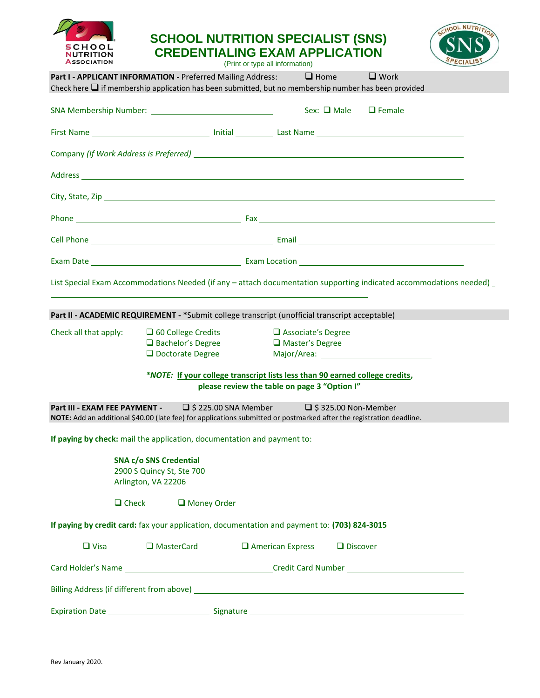

# **SCHOOL NUTRITION SPECIALIST (SNS) CREDENTIALING EXAM APPLICATION**





|                       | <b>Part I - APPLICANT INFORMATION - Preferred Mailing Address:</b><br>Check here $\Box$ if membership application has been submitted, but no membership number has been provided                           | $\Box$ Home                                  |                 | $\Box$ Work                    |  |
|-----------------------|------------------------------------------------------------------------------------------------------------------------------------------------------------------------------------------------------------|----------------------------------------------|-----------------|--------------------------------|--|
|                       |                                                                                                                                                                                                            |                                              |                 | Sex: $\Box$ Male $\Box$ Female |  |
|                       |                                                                                                                                                                                                            |                                              |                 |                                |  |
|                       |                                                                                                                                                                                                            |                                              |                 |                                |  |
|                       |                                                                                                                                                                                                            |                                              |                 |                                |  |
|                       |                                                                                                                                                                                                            |                                              |                 |                                |  |
|                       |                                                                                                                                                                                                            |                                              |                 |                                |  |
|                       |                                                                                                                                                                                                            |                                              |                 |                                |  |
|                       |                                                                                                                                                                                                            |                                              |                 |                                |  |
|                       | List Special Exam Accommodations Needed (if any - attach documentation supporting indicated accommodations needed) _                                                                                       |                                              |                 |                                |  |
|                       | <u> 1989 - Johann Stoff, amerikansk politiker (* 1908)</u>                                                                                                                                                 |                                              |                 |                                |  |
|                       | Part II - ACADEMIC REQUIREMENT - *Submit college transcript (unofficial transcript acceptable)                                                                                                             |                                              |                 |                                |  |
| Check all that apply: | □ 60 College Credits                                                                                                                                                                                       | $\Box$ Associate's Degree                    |                 |                                |  |
|                       | $\Box$ Bachelor's Degree                                                                                                                                                                                   | Master's Degree                              |                 |                                |  |
|                       | $\Box$ Doctorate Degree                                                                                                                                                                                    |                                              |                 |                                |  |
|                       | *NOTE: If your college transcript lists less than 90 earned college credits,                                                                                                                               | please review the table on page 3 "Option I" |                 |                                |  |
|                       | <b>Part III - EXAM FEE PAYMENT - □ \$ 225.00 SNA Member □ \$ 325.00 Non-Member</b><br>NOTE: Add an additional \$40.00 (late fee) for applications submitted or postmarked after the registration deadline. |                                              |                 |                                |  |
|                       | If paying by check: mail the application, documentation and payment to:                                                                                                                                    |                                              |                 |                                |  |
|                       |                                                                                                                                                                                                            |                                              |                 |                                |  |
|                       | <b>SNA c/o SNS Credential</b><br>2900 S Quincy St, Ste 700                                                                                                                                                 |                                              |                 |                                |  |
|                       | Arlington, VA 22206                                                                                                                                                                                        |                                              |                 |                                |  |
| $\Box$ Check          | Money Order                                                                                                                                                                                                |                                              |                 |                                |  |
|                       | If paying by credit card: fax your application, documentation and payment to: (703) 824-3015                                                                                                               |                                              |                 |                                |  |
| $\Box$ Visa           | □ MasterCard                                                                                                                                                                                               | $\Box$ American Express                      | $\Box$ Discover |                                |  |
|                       |                                                                                                                                                                                                            |                                              |                 |                                |  |
|                       |                                                                                                                                                                                                            |                                              |                 |                                |  |
|                       |                                                                                                                                                                                                            |                                              |                 |                                |  |